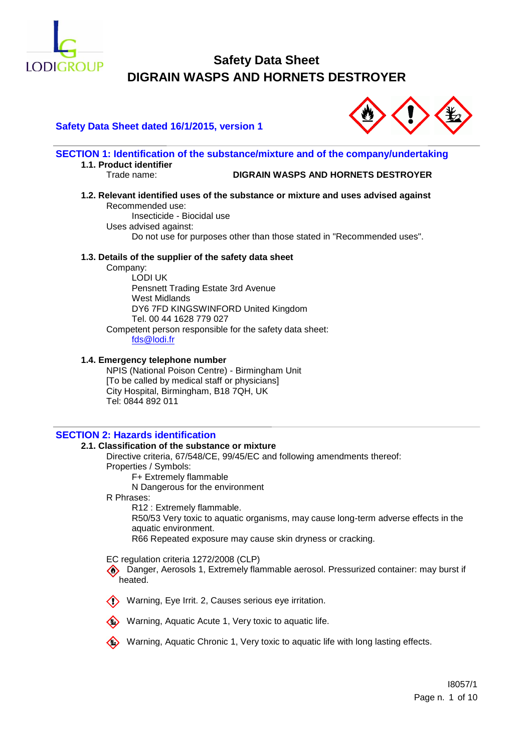

# **Safety Data Sheet dated 16/1/2015, version 1**



**SECTION 1: Identification of the substance/mixture and of the company/undertaking 1.1. Product identifier**

### Trade name: **DIGRAIN WASPS AND HORNETS DESTROYER**

# **1.2. Relevant identified uses of the substance or mixture and uses advised against** Recommended use:

Insecticide - Biocidal use Uses advised against: Do not use for purposes other than those stated in "Recommended uses".

### **1.3. Details of the supplier of the safety data sheet**

Company:

LODI UK Pensnett Trading Estate 3rd Avenue West Midlands DY6 7FD KINGSWINFORD United Kingdom Tel. 00 44 1628 779 027 Competent person responsible for the safety data sheet: [fds@lodi.fr](mailto:fds@lodi.fr)

### **1.4. Emergency telephone number**

NPIS (National Poison Centre) - Birmingham Unit [To be called by medical staff or physicians] City Hospital, Birmingham, B18 7QH, UK Tel: 0844 892 011

# **SECTION 2: Hazards identification**

### **2.1. Classification of the substance or mixture**

Directive criteria, 67/548/CE, 99/45/EC and following amendments thereof:

Properties / Symbols:

F+ Extremely flammable

N Dangerous for the environment

R Phrases:

R12 : Extremely flammable.

R50/53 Very toxic to aquatic organisms, may cause long-term adverse effects in the aquatic environment.

R66 Repeated exposure may cause skin dryness or cracking.

EC regulation criteria 1272/2008 (CLP)

**EXTERNITHER 19 Danger, Aerosols 1, Extremely flammable aerosol. Pressurized container: may burst if** heated.







Warning, Aquatic Chronic 1, Very toxic to aquatic life with long lasting effects.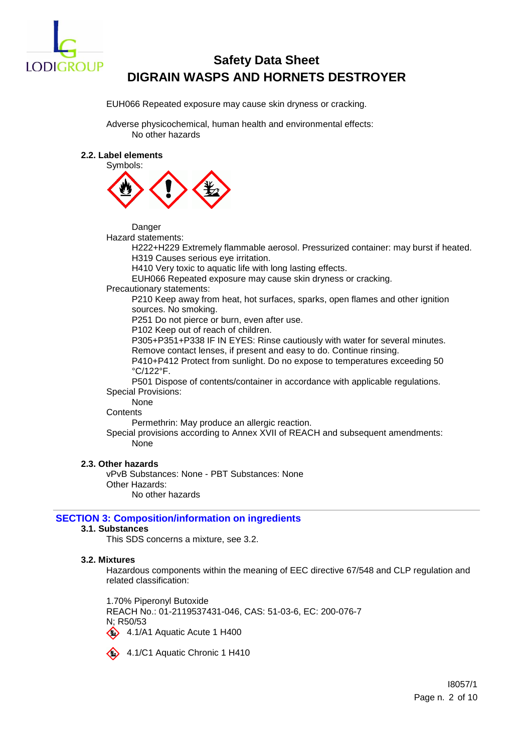

EUH066 Repeated exposure may cause skin dryness or cracking.

Adverse physicochemical, human health and environmental effects: No other hazards

### **2.2. Label elements**



Danger

Hazard statements:

H222+H229 Extremely flammable aerosol. Pressurized container: may burst if heated. H319 Causes serious eye irritation.

H410 Very toxic to aquatic life with long lasting effects.

EUH066 Repeated exposure may cause skin dryness or cracking.

Precautionary statements:

P210 Keep away from heat, hot surfaces, sparks, open flames and other ignition sources. No smoking.

P251 Do not pierce or burn, even after use.

P102 Keep out of reach of children.

P305+P351+P338 IF IN EYES: Rinse cautiously with water for several minutes.

Remove contact lenses, if present and easy to do. Continue rinsing.

P410+P412 Protect from sunlight. Do no expose to temperatures exceeding 50 °C/122°F.

P501 Dispose of contents/container in accordance with applicable regulations. Special Provisions:

None

**Contents** 

Permethrin: May produce an allergic reaction.

Special provisions according to Annex XVII of REACH and subsequent amendments: None

### **2.3. Other hazards**

vPvB Substances: None - PBT Substances: None Other Hazards: No other hazards

# **SECTION 3: Composition/information on ingredients**

### **3.1. Substances**

This SDS concerns a mixture, see 3.2.

### **3.2. Mixtures**

Hazardous components within the meaning of EEC directive 67/548 and CLP regulation and related classification:

1.70% Piperonyl Butoxide REACH No.: 01-2119537431-046, CAS: 51-03-6, EC: 200-076-7 N; R50/53 4.1/A1 Aquatic Acute 1 H400

4.1/C1 Aquatic Chronic 1 H410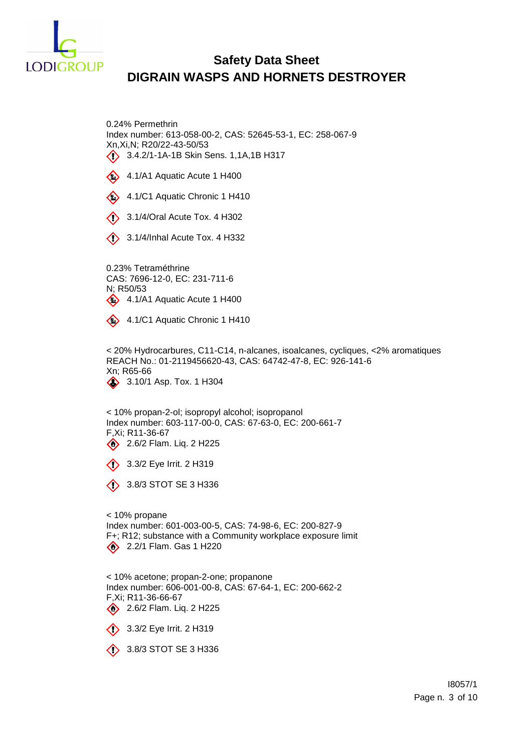

0.24% Permethrin Index number: 613-058-00-2, CAS: 52645-53-1, EC: 258-067-9 Xn,Xi,N; R20/22-43-50/53 3.4.2/1-1A-1B Skin Sens. 1,1A,1B H317

- 4.1/A1 Aquatic Acute 1 H400
- 4.1/C1 Aquatic Chronic 1 H410
- **3.1/4/Oral Acute Tox. 4 H302**
- $\langle \rangle$  3.1/4/Inhal Acute Tox. 4 H332

0.23% Tetraméthrine CAS: 7696-12-0, EC: 231-711-6 N; R50/53  $4.1/A1$  Aquatic Acute 1 H400

4.1/C1 Aquatic Chronic 1 H410

< 20% Hydrocarbures, C11-C14, n-alcanes, isoalcanes, cycliques, <2% aromatiques REACH No.: 01-2119456620-43, CAS: 64742-47-8, EC: 926-141-6 Xn; R65-66 3.10/1 Asp. Tox. 1 H304

< 10% propan-2-ol; isopropyl alcohol; isopropanol Index number: 603-117-00-0, CAS: 67-63-0, EC: 200-661-7 F,Xi; R11-36-67 2.6/2 Flam. Liq. 2 H225

 $\diamond$  3.3/2 Eye Irrit. 2 H319

 $\circ$  3.8/3 STOT SE 3 H336

< 10% propane Index number: 601-003-00-5, CAS: 74-98-6, EC: 200-827-9 F+; R12; substance with a Community workplace exposure limit 2.2/1 Flam. Gas 1 H220

< 10% acetone; propan-2-one; propanone Index number: 606-001-00-8, CAS: 67-64-1, EC: 200-662-2 F,Xi; R11-36-66-67 2.6/2 Flam. Liq. 2 H225

3.3/2 Eye Irrit. 2 H319

 $\diamondsuit$  3.8/3 STOT SE 3 H336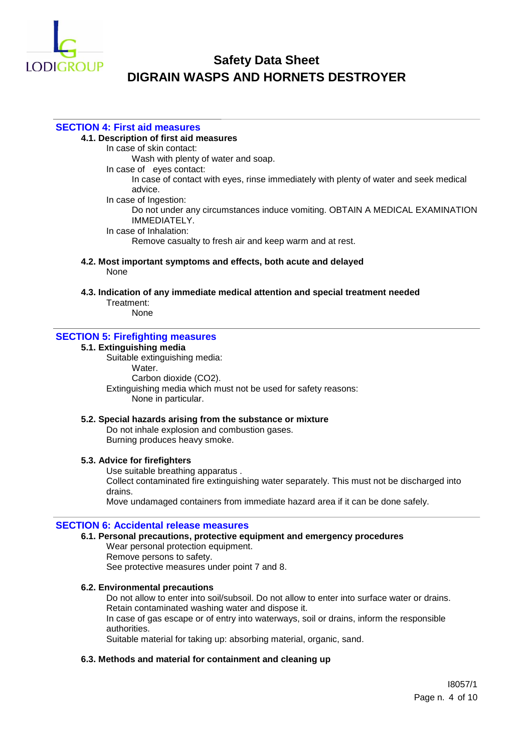

### **SECTION 4: First aid measures**

### **4.1. Description of first aid measures**

In case of skin contact:

Wash with plenty of water and soap.

In case of eyes contact:

In case of contact with eyes, rinse immediately with plenty of water and seek medical advice.

In case of Ingestion:

Do not under any circumstances induce vomiting. OBTAIN A MEDICAL EXAMINATION IMMEDIATELY.

In case of Inhalation:

Remove casualty to fresh air and keep warm and at rest.

**4.2. Most important symptoms and effects, both acute and delayed** None

**4.3. Indication of any immediate medical attention and special treatment needed** Treatment:

None

# **SECTION 5: Firefighting measures**

# **5.1. Extinguishing media**

Suitable extinguishing media: Water. Carbon dioxide (CO2). Extinguishing media which must not be used for safety reasons: None in particular.

### **5.2. Special hazards arising from the substance or mixture**

Do not inhale explosion and combustion gases. Burning produces heavy smoke.

### **5.3. Advice for firefighters**

Use suitable breathing apparatus . Collect contaminated fire extinguishing water separately. This must not be discharged into drains.

Move undamaged containers from immediate hazard area if it can be done safely.

### **SECTION 6: Accidental release measures**

### **6.1. Personal precautions, protective equipment and emergency procedures**

Wear personal protection equipment. Remove persons to safety. See protective measures under point 7 and 8.

### **6.2. Environmental precautions**

Do not allow to enter into soil/subsoil. Do not allow to enter into surface water or drains. Retain contaminated washing water and dispose it. In case of gas escape or of entry into waterways, soil or drains, inform the responsible

authorities.

Suitable material for taking up: absorbing material, organic, sand.

### **6.3. Methods and material for containment and cleaning up**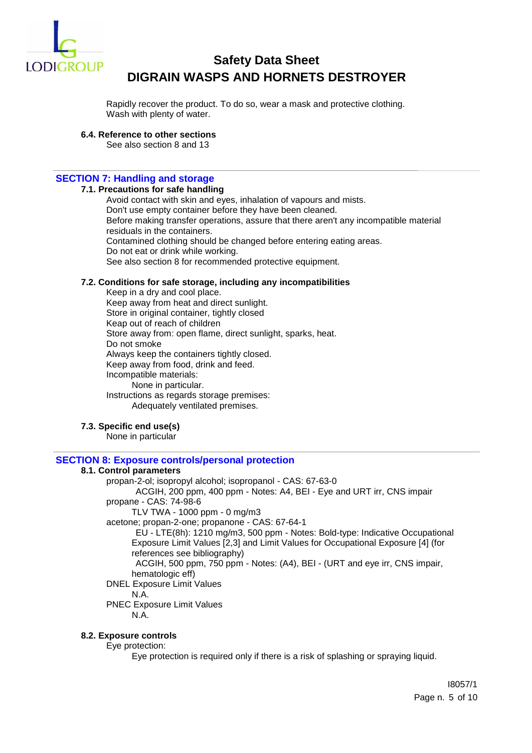

Rapidly recover the product. To do so, wear a mask and protective clothing. Wash with plenty of water.

**6.4. Reference to other sections**

See also section 8 and 13

# **SECTION 7: Handling and storage**

### **7.1. Precautions for safe handling**

Avoid contact with skin and eyes, inhalation of vapours and mists. Don't use empty container before they have been cleaned. Before making transfer operations, assure that there aren't any incompatible material residuals in the containers. Contamined clothing should be changed before entering eating areas. Do not eat or drink while working. See also section 8 for recommended protective equipment.

### **7.2. Conditions for safe storage, including any incompatibilities**

Keep in a dry and cool place. Keep away from heat and direct sunlight. Store in original container, tightly closed Keap out of reach of children Store away from: open flame, direct sunlight, sparks, heat. Do not smoke Always keep the containers tightly closed. Keep away from food, drink and feed. Incompatible materials: None in particular. Instructions as regards storage premises: Adequately ventilated premises.

# **7.3. Specific end use(s)**

None in particular

# **SECTION 8: Exposure controls/personal protection**

### **8.1. Control parameters**

propan-2-ol; isopropyl alcohol; isopropanol - CAS: 67-63-0 ACGIH, 200 ppm, 400 ppm - Notes: A4, BEI - Eye and URT irr, CNS impair propane - CAS: 74-98-6 TLV TWA - 1000 ppm - 0 mg/m3 acetone; propan-2-one; propanone - CAS: 67-64-1 EU - LTE(8h): 1210 mg/m3, 500 ppm - Notes: Bold-type: Indicative Occupational Exposure Limit Values [2,3] and Limit Values for Occupational Exposure [4] (for references see bibliography)

ACGIH, 500 ppm, 750 ppm - Notes: (A4), BEI - (URT and eye irr, CNS impair, hematologic eff)

DNEL Exposure Limit Values

### N.A.

PNEC Exposure Limit Values

N.A.

### **8.2. Exposure controls**

Eye protection:

Eye protection is required only if there is a risk of splashing or spraying liquid.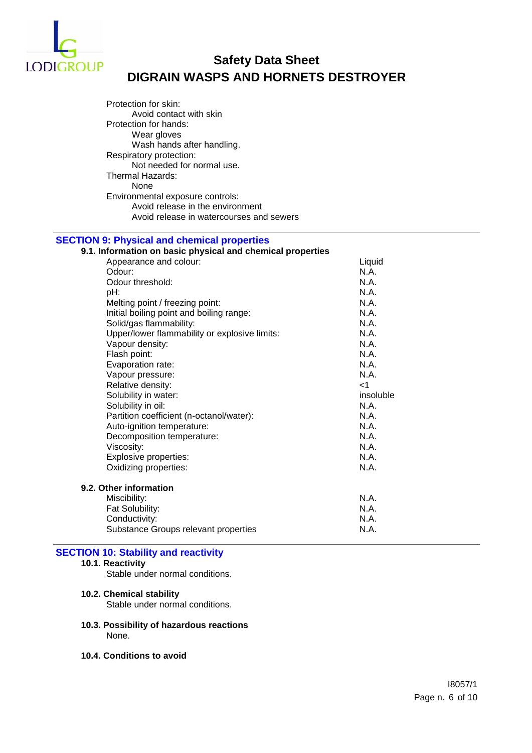

Protection for skin: Avoid contact with skin Protection for hands: Wear gloves Wash hands after handling. Respiratory protection: Not needed for normal use. Thermal Hazards: None Environmental exposure controls: Avoid release in the environment Avoid release in watercourses and sewers

# **SECTION 9: Physical and chemical properties**

| 9.1. Information on basic physical and chemical properties |           |
|------------------------------------------------------------|-----------|
| Appearance and colour:                                     | Liquid    |
| Odour:                                                     | N.A.      |
| Odour threshold:                                           | N.A.      |
| pH:                                                        | N.A.      |
| Melting point / freezing point:                            | N.A.      |
| Initial boiling point and boiling range:                   | N.A.      |
| Solid/gas flammability:                                    | N.A.      |
| Upper/lower flammability or explosive limits:              | N.A.      |
| Vapour density:                                            | N.A.      |
| Flash point:                                               | N.A.      |
| Evaporation rate:                                          | N.A.      |
| Vapour pressure:                                           | N.A.      |
| Relative density:                                          | $<$ 1     |
| Solubility in water:                                       | insoluble |
| Solubility in oil:                                         | N.A.      |
| Partition coefficient (n-octanol/water):                   | N.A.      |
| Auto-ignition temperature:                                 | N.A.      |
| Decomposition temperature:                                 | N.A.      |
| Viscosity:                                                 | N.A.      |
| Explosive properties:                                      | N.A.      |
| Oxidizing properties:                                      | N.A.      |
| 9.2. Other information                                     |           |
| Miscibility:                                               | N.A.      |
| Fat Solubility:                                            | N.A.      |
| Conductivity:                                              | N.A.      |
| Substance Groups relevant properties                       | N.A.      |

# **SECTION 10: Stability and reactivity**

### **10.1. Reactivity**

Stable under normal conditions.

### **10.2. Chemical stability**

Stable under normal conditions.

- **10.3. Possibility of hazardous reactions** None.
- **10.4. Conditions to avoid**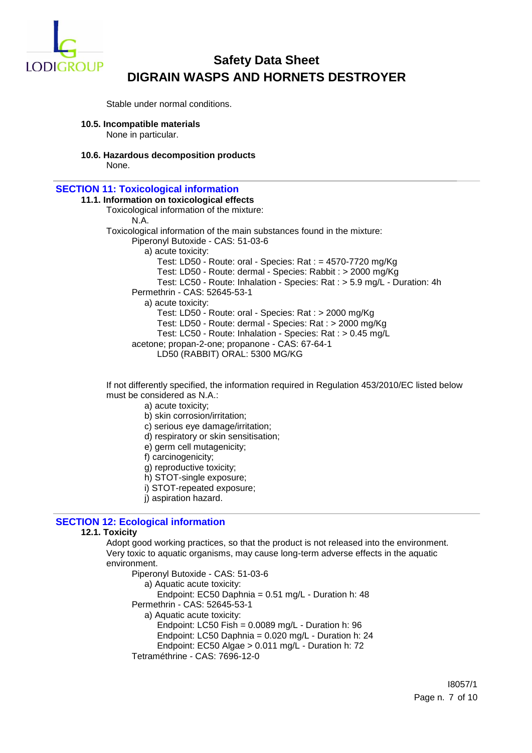

Stable under normal conditions.

- **10.5. Incompatible materials** None in particular.
- **10.6. Hazardous decomposition products**

None.

### **SECTION 11: Toxicological information**

**11.1. Information on toxicological effects** Toxicological information of the mixture: N.A. Toxicological information of the main substances found in the mixture: Piperonyl Butoxide - CAS: 51-03-6 a) acute toxicity: Test: LD50 - Route: oral - Species: Rat : = 4570-7720 mg/Kg Test: LD50 - Route: dermal - Species: Rabbit : > 2000 mg/Kg Test: LC50 - Route: Inhalation - Species: Rat : > 5.9 mg/L - Duration: 4h Permethrin - CAS: 52645-53-1 a) acute toxicity: Test: LD50 - Route: oral - Species: Rat : > 2000 mg/Kg Test: LD50 - Route: dermal - Species: Rat : > 2000 mg/Kg Test: LC50 - Route: Inhalation - Species: Rat : > 0.45 mg/L acetone; propan-2-one; propanone - CAS: 67-64-1 LD50 (RABBIT) ORAL: 5300 MG/KG

If not differently specified, the information required in Regulation 453/2010/EC listed below must be considered as N.A.:

a) acute toxicity;

- b) skin corrosion/irritation;
- c) serious eye damage/irritation;
- d) respiratory or skin sensitisation;
- e) germ cell mutagenicity;
- f) carcinogenicity;
- g) reproductive toxicity;
- h) STOT-single exposure;
- i) STOT-repeated exposure;
- j) aspiration hazard.

### **SECTION 12: Ecological information**

### **12.1. Toxicity**

Adopt good working practices, so that the product is not released into the environment. Very toxic to aquatic organisms, may cause long-term adverse effects in the aquatic environment.

Piperonyl Butoxide - CAS: 51-03-6

a) Aquatic acute toxicity:

Endpoint: EC50 Daphnia = 0.51 mg/L - Duration h: 48

- Permethrin CAS: 52645-53-1
	- a) Aquatic acute toxicity:
		- Endpoint: LC50 Fish =  $0.0089$  mg/L Duration h: 96
		- Endpoint: LC50 Daphnia = 0.020 mg/L Duration h: 24
		- Endpoint: EC50 Algae > 0.011 mg/L Duration h: 72
- Tetraméthrine CAS: 7696-12-0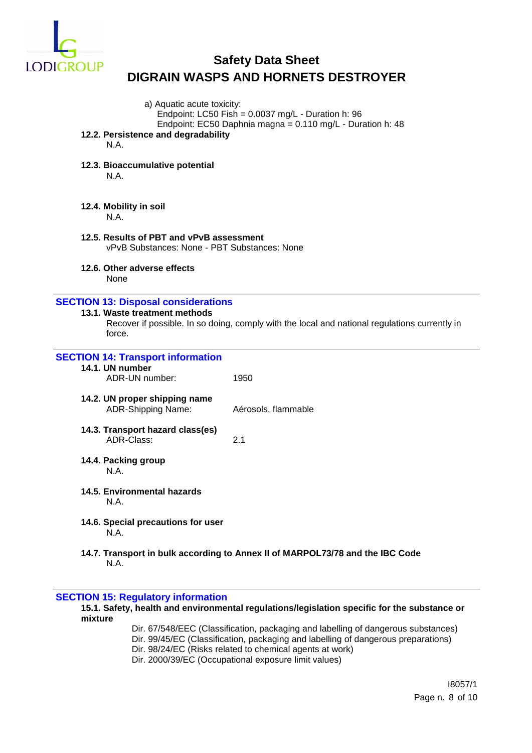

| a) Aquatic acute toxicity:                                                               | Endpoint: LC50 Fish = $0.0037$ mg/L - Duration h: 96                                          |
|------------------------------------------------------------------------------------------|-----------------------------------------------------------------------------------------------|
|                                                                                          | Endpoint: EC50 Daphnia magna = 0.110 mg/L - Duration h: 48                                    |
| 12.2. Persistence and degradability<br>N.A.                                              |                                                                                               |
| 12.3. Bioaccumulative potential                                                          |                                                                                               |
| N.A.                                                                                     |                                                                                               |
| 12.4. Mobility in soil<br>N.A.                                                           |                                                                                               |
| 12.5. Results of PBT and vPvB assessment<br>vPvB Substances: None - PBT Substances: None |                                                                                               |
| 12.6. Other adverse effects<br>None                                                      |                                                                                               |
| <b>SECTION 13: Disposal considerations</b>                                               |                                                                                               |
| 13.1. Waste treatment methods<br>force.                                                  | Recover if possible. In so doing, comply with the local and national regulations currently in |
| <b>SECTION 14: Transport information</b>                                                 |                                                                                               |
| 14.1. UN number<br>ADR-UN number:                                                        | 1950                                                                                          |
| 14.2. UN proper shipping name<br>ADR-Shipping Name:                                      | Aérosols, flammable                                                                           |
| 14.3. Transport hazard class(es)<br>ADR-Class:                                           | 2.1                                                                                           |
| 14.4. Packing group<br>N.A.                                                              |                                                                                               |
| 14.5. Environmental hazards<br>N.A.                                                      |                                                                                               |
| 14.6. Special precautions for user<br>N.A.                                               |                                                                                               |
| N.A.                                                                                     | 14.7. Transport in bulk according to Annex II of MARPOL73/78 and the IBC Code                 |
| <b>SECTION 15: Regulatory information</b>                                                |                                                                                               |

**15.1. Safety, health and environmental regulations/legislation specific for the substance or** 

- Dir. 67/548/EEC (Classification, packaging and labelling of dangerous substances)
- Dir. 99/45/EC (Classification, packaging and labelling of dangerous preparations)
- Dir. 98/24/EC (Risks related to chemical agents at work)
- Dir. 2000/39/EC (Occupational exposure limit values)

**mixture**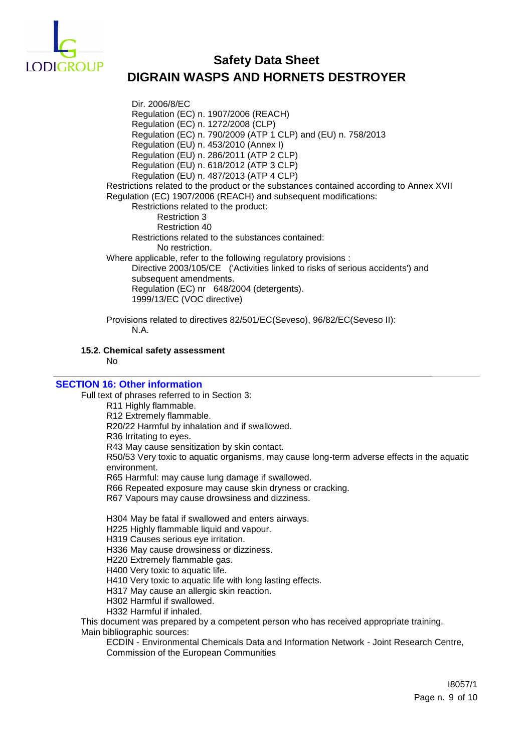

Dir. 2006/8/EC Regulation (EC) n. 1907/2006 (REACH) Regulation (EC) n. 1272/2008 (CLP) Regulation (EC) n. 790/2009 (ATP 1 CLP) and (EU) n. 758/2013 Regulation (EU) n. 453/2010 (Annex I) Regulation (EU) n. 286/2011 (ATP 2 CLP) Regulation (EU) n. 618/2012 (ATP 3 CLP) Regulation (EU) n. 487/2013 (ATP 4 CLP) Restrictions related to the product or the substances contained according to Annex XVII Regulation (EC) 1907/2006 (REACH) and subsequent modifications: Restrictions related to the product: Restriction 3 Restriction 40 Restrictions related to the substances contained: No restriction. Where applicable, refer to the following regulatory provisions : Directive 2003/105/CE ('Activities linked to risks of serious accidents') and subsequent amendments. Regulation (EC) nr 648/2004 (detergents). 1999/13/EC (VOC directive)

Provisions related to directives 82/501/EC(Seveso), 96/82/EC(Seveso II): N.A.

### **15.2. Chemical safety assessment**

No

### **SECTION 16: Other information**

Full text of phrases referred to in Section 3:

R11 Highly flammable.

R12 Extremely flammable.

R20/22 Harmful by inhalation and if swallowed.

R36 Irritating to eyes.

R43 May cause sensitization by skin contact.

R50/53 Very toxic to aquatic organisms, may cause long-term adverse effects in the aquatic environment.

R65 Harmful: may cause lung damage if swallowed.

R66 Repeated exposure may cause skin dryness or cracking.

R67 Vapours may cause drowsiness and dizziness.

H304 May be fatal if swallowed and enters airways.

H225 Highly flammable liquid and vapour.

H319 Causes serious eye irritation.

H336 May cause drowsiness or dizziness.

H220 Extremely flammable gas.

H400 Very toxic to aquatic life.

H410 Very toxic to aquatic life with long lasting effects.

H317 May cause an allergic skin reaction.

H302 Harmful if swallowed.

H332 Harmful if inhaled.

This document was prepared by a competent person who has received appropriate training. Main bibliographic sources:

ECDIN - Environmental Chemicals Data and Information Network - Joint Research Centre, Commission of the European Communities